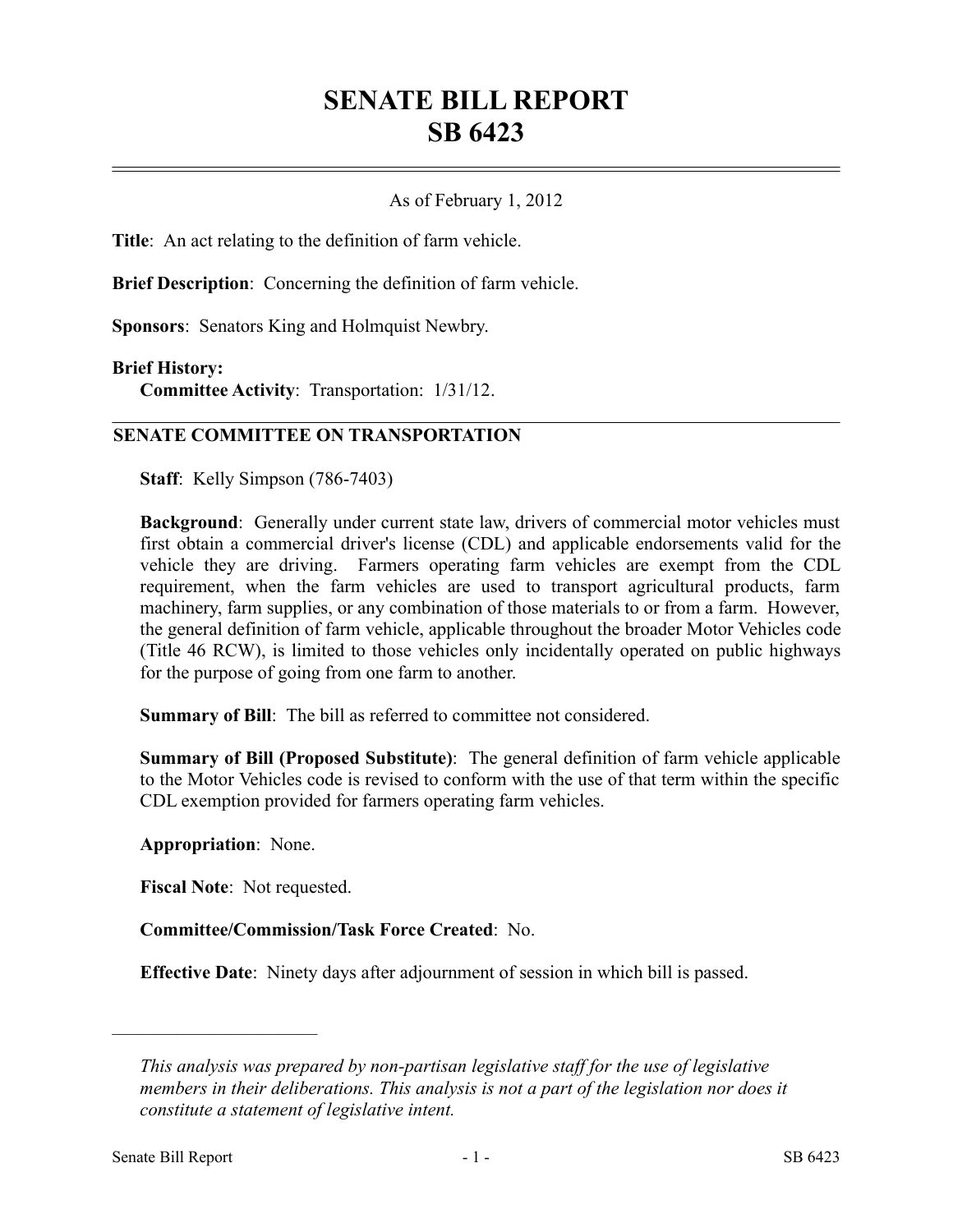## **SENATE BILL REPORT SB 6423**

## As of February 1, 2012

**Title**: An act relating to the definition of farm vehicle.

**Brief Description**: Concerning the definition of farm vehicle.

**Sponsors**: Senators King and Holmquist Newbry.

## **Brief History:**

**Committee Activity**: Transportation: 1/31/12.

## **SENATE COMMITTEE ON TRANSPORTATION**

**Staff**: Kelly Simpson (786-7403)

**Background**: Generally under current state law, drivers of commercial motor vehicles must first obtain a commercial driver's license (CDL) and applicable endorsements valid for the vehicle they are driving. Farmers operating farm vehicles are exempt from the CDL requirement, when the farm vehicles are used to transport agricultural products, farm machinery, farm supplies, or any combination of those materials to or from a farm. However, the general definition of farm vehicle, applicable throughout the broader Motor Vehicles code (Title 46 RCW), is limited to those vehicles only incidentally operated on public highways for the purpose of going from one farm to another.

**Summary of Bill**: The bill as referred to committee not considered.

**Summary of Bill (Proposed Substitute)**: The general definition of farm vehicle applicable to the Motor Vehicles code is revised to conform with the use of that term within the specific CDL exemption provided for farmers operating farm vehicles.

**Appropriation**: None.

––––––––––––––––––––––

**Fiscal Note**: Not requested.

**Committee/Commission/Task Force Created**: No.

**Effective Date**: Ninety days after adjournment of session in which bill is passed.

*This analysis was prepared by non-partisan legislative staff for the use of legislative members in their deliberations. This analysis is not a part of the legislation nor does it constitute a statement of legislative intent.*